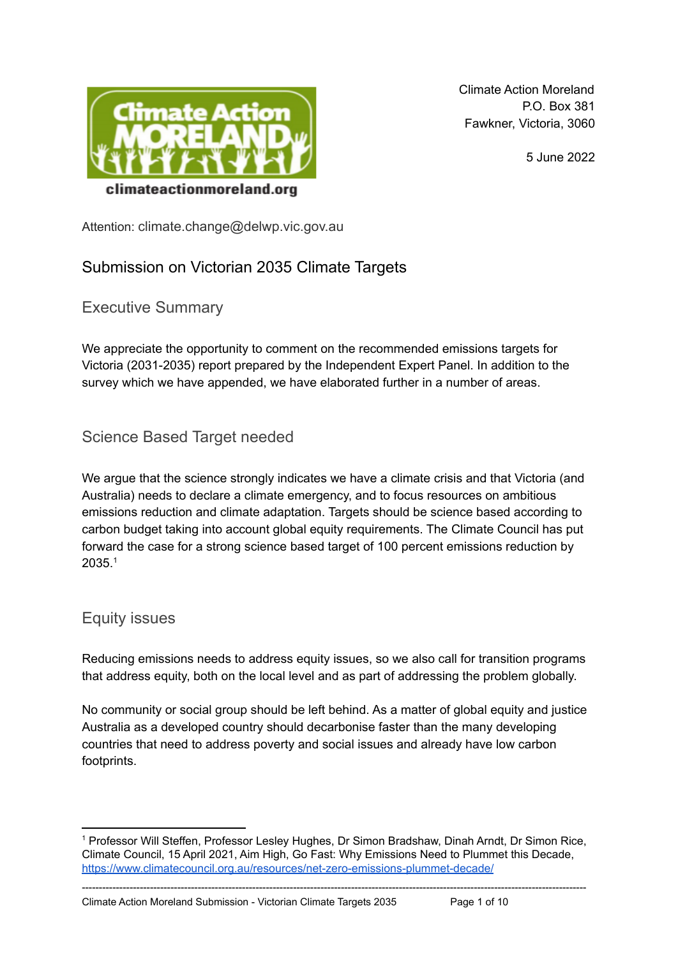

Climate Action Moreland P.O. Box 381 Fawkner, Victoria, 3060

5 June 2022

Attention: climate.change@delwp.vic.gov.au

# Submission on Victorian 2035 Climate Targets

Executive Summary

We appreciate the opportunity to comment on the recommended emissions targets for Victoria (2031-2035) report prepared by the Independent Expert Panel. In addition to the survey which we have appended, we have elaborated further in a number of areas.

Science Based Target needed

We argue that the science strongly indicates we have a climate crisis and that Victoria (and Australia) needs to declare a climate emergency, and to focus resources on ambitious emissions reduction and climate adaptation. Targets should be science based according to carbon budget taking into account global equity requirements. The Climate Council has put forward the case for a strong science based target of 100 percent emissions reduction by  $2035.<sup>1</sup>$ 

# Equity issues

Reducing emissions needs to address equity issues, so we also call for transition programs that address equity, both on the local level and as part of addressing the problem globally.

No community or social group should be left behind. As a matter of global equity and justice Australia as a developed country should decarbonise faster than the many developing countries that need to address poverty and social issues and already have low carbon footprints.

----------------------------------------------------------------------------------------------------------------------------------------------------

Climate Action Moreland Submission - Victorian Climate Targets 2035 Page 1 of 10

<sup>1</sup> Professor Will Steffen, Professor Lesley Hughes, Dr Simon Bradshaw, Dinah Arndt, Dr Simon Rice, Climate Council, 15 April 2021, Aim High, Go Fast: Why Emissions Need to Plummet this Decade, <https://www.climatecouncil.org.au/resources/net-zero-emissions-plummet-decade/>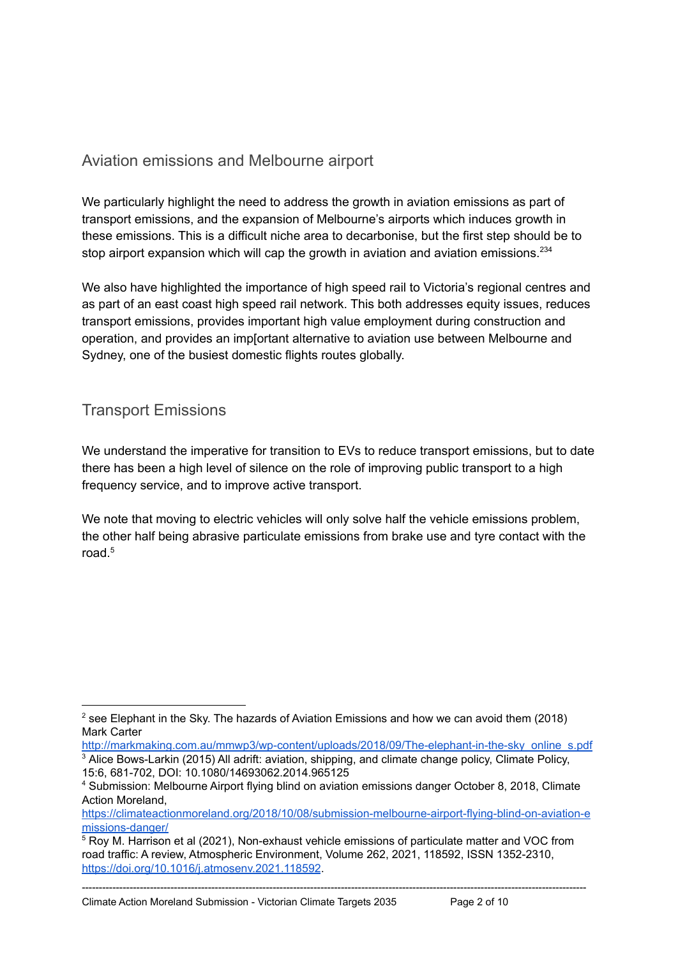# Aviation emissions and Melbourne airport

We particularly highlight the need to address the growth in aviation emissions as part of transport emissions, and the expansion of Melbourne's airports which induces growth in these emissions. This is a difficult niche area to decarbonise, but the first step should be to stop airport expansion which will cap the growth in aviation and aviation emissions.<sup>234</sup>

We also have highlighted the importance of high speed rail to Victoria's regional centres and as part of an east coast high speed rail network. This both addresses equity issues, reduces transport emissions, provides important high value employment during construction and operation, and provides an imp[ortant alternative to aviation use between Melbourne and Sydney, one of the busiest domestic flights routes globally.

# Transport Emissions

We understand the imperative for transition to EVs to reduce transport emissions, but to date there has been a high level of silence on the role of improving public transport to a high frequency service, and to improve active transport.

We note that moving to electric vehicles will only solve half the vehicle emissions problem, the other half being abrasive particulate emissions from brake use and tyre contact with the road. 5

<sup>3</sup> Alice Bows-Larkin (2015) All adrift: aviation, shipping, and climate change policy, Climate Policy, 15:6, 681-702, DOI: 10.1080/14693062.2014.965125 [http://markmaking.com.au/mmwp3/wp-content/uploads/2018/09/The-elephant-in-the-sky\\_online\\_s.pdf](http://markmaking.com.au/mmwp3/wp-content/uploads/2018/09/The-elephant-in-the-sky_online_s.pdf)

 $2$  see Elephant in the Sky. The hazards of Aviation Emissions and how we can avoid them (2018) Mark Carter

<sup>4</sup> Submission: Melbourne Airport flying blind on aviation emissions danger October 8, 2018, Climate Action Moreland,

[https://climateactionmoreland.org/2018/10/08/submission-melbourne-airport-flying-blind-on-aviation-e](https://climateactionmoreland.org/2018/10/08/submission-melbourne-airport-flying-blind-on-aviation-emissions-danger/) [missions-danger/](https://climateactionmoreland.org/2018/10/08/submission-melbourne-airport-flying-blind-on-aviation-emissions-danger/)

 $5$  Roy M. Harrison et al (2021), Non-exhaust vehicle emissions of particulate matter and VOC from road traffic: A review, Atmospheric Environment, Volume 262, 2021, 118592, ISSN 1352-2310, <https://doi.org/10.1016/j.atmosenv.2021.118592>.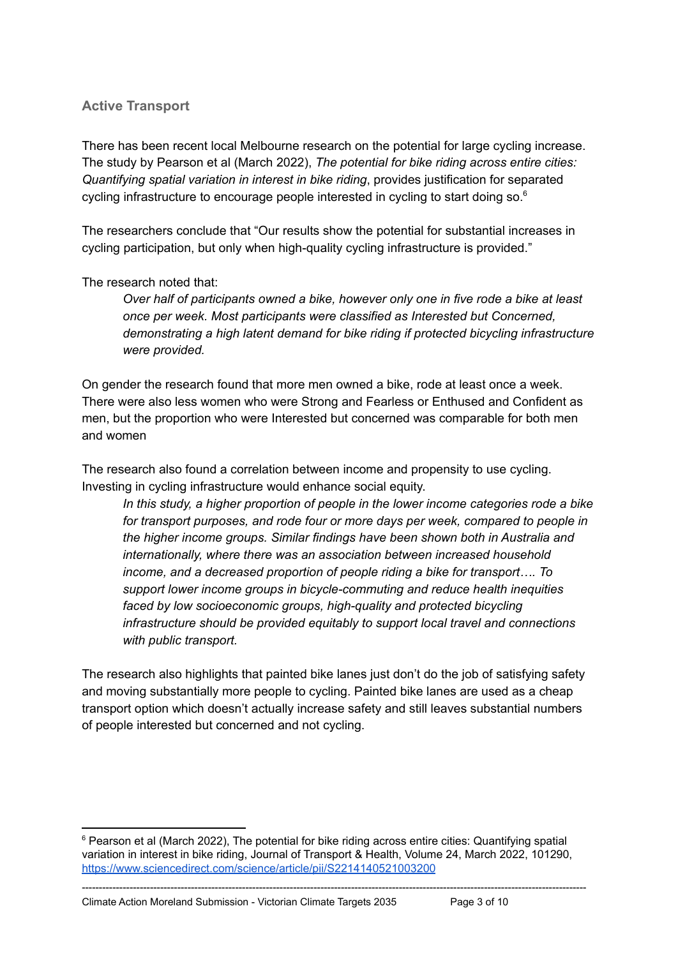## **Active Transport**

There has been recent local Melbourne research on the potential for large cycling increase. The study by Pearson et al (March 2022), *The potential for bike riding across entire cities: Quantifying spatial variation in interest in bike riding*, provides justification for separated cycling infrastructure to encourage people interested in cycling to start doing so.<sup>6</sup>

The researchers conclude that "Our results show the potential for substantial increases in cycling participation, but only when high-quality cycling infrastructure is provided."

### The research noted that:

*Over half of participants owned a bike, however only one in five rode a bike at least once per week. Most participants were classified as Interested but Concerned, demonstrating a high latent demand for bike riding if protected bicycling infrastructure were provided.*

On gender the research found that more men owned a bike, rode at least once a week. There were also less women who were Strong and Fearless or Enthused and Confident as men, but the proportion who were Interested but concerned was comparable for both men and women

The research also found a correlation between income and propensity to use cycling. Investing in cycling infrastructure would enhance social equity.

*In this study, a higher proportion of people in the lower income categories rode a bike for transport purposes, and rode four or more days per week, compared to people in the higher income groups. Similar findings have been shown both in Australia and internationally, where there was an association between increased household income, and a decreased proportion of people riding a bike for transport…. To support lower income groups in bicycle-commuting and reduce health inequities faced by low socioeconomic groups, high-quality and protected bicycling infrastructure should be provided equitably to support local travel and connections with public transport.*

The research also highlights that painted bike lanes just don't do the job of satisfying safety and moving substantially more people to cycling. Painted bike lanes are used as a cheap transport option which doesn't actually increase safety and still leaves substantial numbers of people interested but concerned and not cycling.

 $6$  Pearson et al (March 2022), The potential for bike riding across entire cities: Quantifying spatial variation in interest in bike riding, Journal of Transport & Health, Volume 24, March 2022, 101290, <https://www.sciencedirect.com/science/article/pii/S2214140521003200>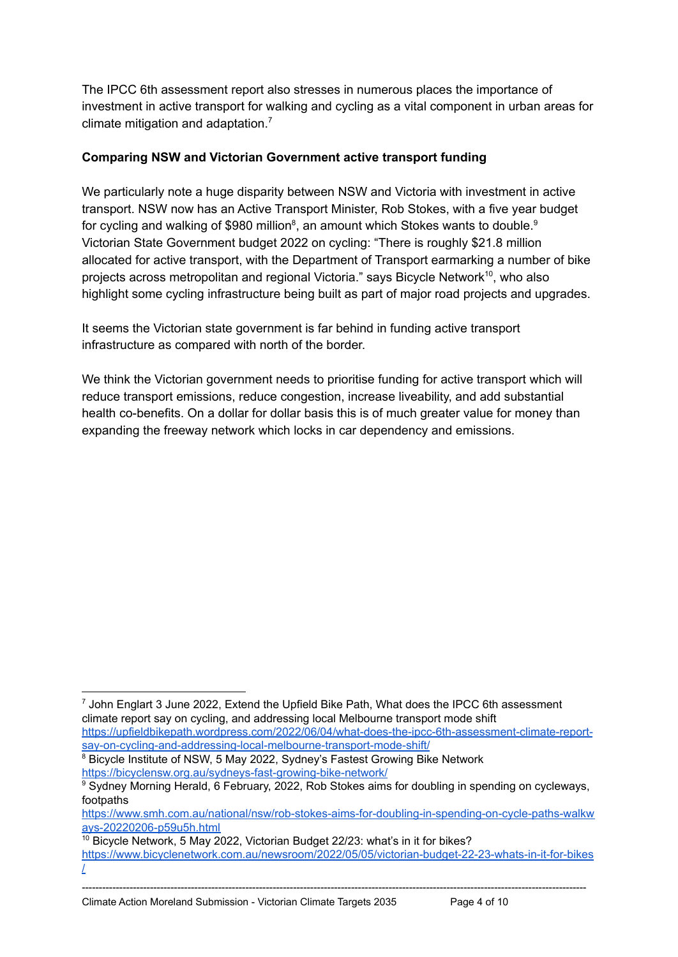The IPCC 6th assessment report also stresses in numerous places the importance of investment in active transport for walking and cycling as a vital component in urban areas for climate mitigation and adaptation. $<sup>7</sup>$ </sup>

## **Comparing NSW and Victorian Government active transport funding**

We particularly note a huge disparity between NSW and Victoria with investment in active transport. NSW now has an Active Transport Minister, Rob Stokes, with a five year budget for cycling and walking of \$980 million<sup>8</sup>, an amount which Stokes wants to double.<sup>9</sup> Victorian State Government budget 2022 on cycling: "There is roughly \$21.8 million allocated for active transport, with the Department of Transport earmarking a number of bike projects across metropolitan and regional Victoria." says Bicycle Network<sup>10</sup>, who also highlight some cycling infrastructure being built as part of major road projects and upgrades.

It seems the Victorian state government is far behind in funding active transport infrastructure as compared with north of the border.

We think the Victorian government needs to prioritise funding for active transport which will reduce transport emissions, reduce congestion, increase liveability, and add substantial health co-benefits. On a dollar for dollar basis this is of much greater value for money than expanding the freeway network which locks in car dependency and emissions.

<sup>7</sup> John Englart 3 June 2022, Extend the Upfield Bike Path, What does the IPCC 6th assessment climate report say on cycling, and addressing local Melbourne transport mode shift [https://upfieldbikepath.wordpress.com/2022/06/04/what-does-the-ipcc-6th-assessment-climate-report-](https://upfieldbikepath.wordpress.com/2022/06/04/what-does-the-ipcc-6th-assessment-climate-report-say-on-cycling-and-addressing-local-melbourne-transport-mode-shift/)

<sup>&</sup>lt;sup>8</sup> Bicycle Institute of NSW, 5 May 2022, Sydney's Fastest Growing Bike Network <https://bicyclensw.org.au/sydneys-fast-growing-bike-network/> [say-on-cycling-and-addressing-local-melbourne-transport-mode-shift/](https://upfieldbikepath.wordpress.com/2022/06/04/what-does-the-ipcc-6th-assessment-climate-report-say-on-cycling-and-addressing-local-melbourne-transport-mode-shift/)

<sup>&</sup>lt;sup>9</sup> Sydney Morning Herald, 6 February, 2022, Rob Stokes aims for doubling in spending on cycleways, footpaths

[https://www.smh.com.au/national/nsw/rob-stokes-aims-for-doubling-in-spending-on-cycle-paths-walkw](https://www.smh.com.au/national/nsw/rob-stokes-aims-for-doubling-in-spending-on-cycle-paths-walkways-20220206-p59u5h.html) [ays-20220206-p59u5h.html](https://www.smh.com.au/national/nsw/rob-stokes-aims-for-doubling-in-spending-on-cycle-paths-walkways-20220206-p59u5h.html)

 $10$  Bicycle Network, 5 May 2022, Victorian Budget 22/23: what's in it for bikes? [https://www.bicyclenetwork.com.au/newsroom/2022/05/05/victorian-budget-22-23-whats-in-it-for-bikes](https://www.bicyclenetwork.com.au/newsroom/2022/05/05/victorian-budget-22-23-whats-in-it-for-bikes/) [/](https://www.bicyclenetwork.com.au/newsroom/2022/05/05/victorian-budget-22-23-whats-in-it-for-bikes/)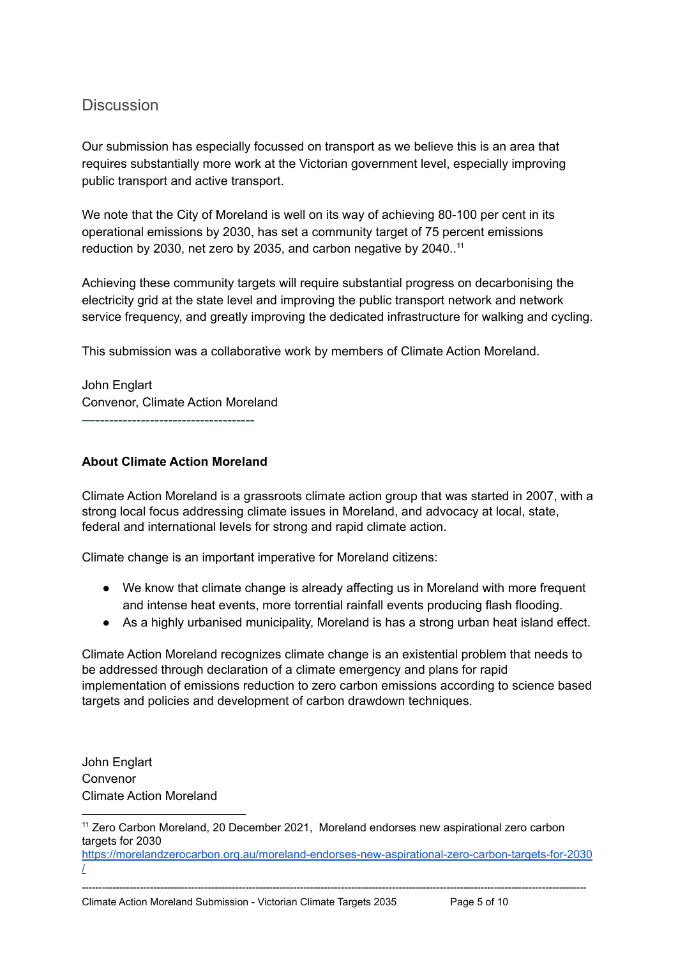## **Discussion**

Our submission has especially focussed on transport as we believe this is an area that requires substantially more work at the Victorian government level, especially improving public transport and active transport.

We note that the City of Moreland is well on its way of achieving 80-100 per cent in its operational emissions by 2030, has set a community target of 75 percent emissions reduction by 2030, net zero by 2035, and carbon negative by 2040..<sup>11</sup>

Achieving these community targets will require substantial progress on decarbonising the electricity grid at the state level and improving the public transport network and network service frequency, and greatly improving the dedicated infrastructure for walking and cycling.

This submission was a collaborative work by members of Climate Action Moreland.

John Englart Convenor, Climate Action Moreland —-----------------------------------

### **About Climate Action Moreland**

Climate Action Moreland is a grassroots climate action group that was started in 2007, with a strong local focus addressing climate issues in Moreland, and advocacy at local, state, federal and international levels for strong and rapid climate action.

Climate change is an important imperative for Moreland citizens:

- We know that climate change is already affecting us in Moreland with more frequent and intense heat events, more torrential rainfall events producing flash flooding.
- As a highly urbanised municipality, Moreland is has a strong urban heat island effect.

Climate Action Moreland recognizes climate change is an existential problem that needs to be addressed through declaration of a climate emergency and plans for rapid implementation of emissions reduction to zero carbon emissions according to science based targets and policies and development of carbon drawdown techniques.

John Englart Convenor Climate Action Moreland

----------------------------------------------------------------------------------------------------------------------------------------------------

Climate Action Moreland Submission - Victorian Climate Targets 2035 Page 5 of 10

<sup>11</sup> Zero Carbon Moreland, 20 December 2021, Moreland endorses new aspirational zero carbon targets for 2030

[https://morelandzerocarbon.org.au/moreland-endorses-new-aspirational-zero-carbon-targets-for-2030](https://morelandzerocarbon.org.au/moreland-endorses-new-aspirational-zero-carbon-targets-for-2030/) [/](https://morelandzerocarbon.org.au/moreland-endorses-new-aspirational-zero-carbon-targets-for-2030/)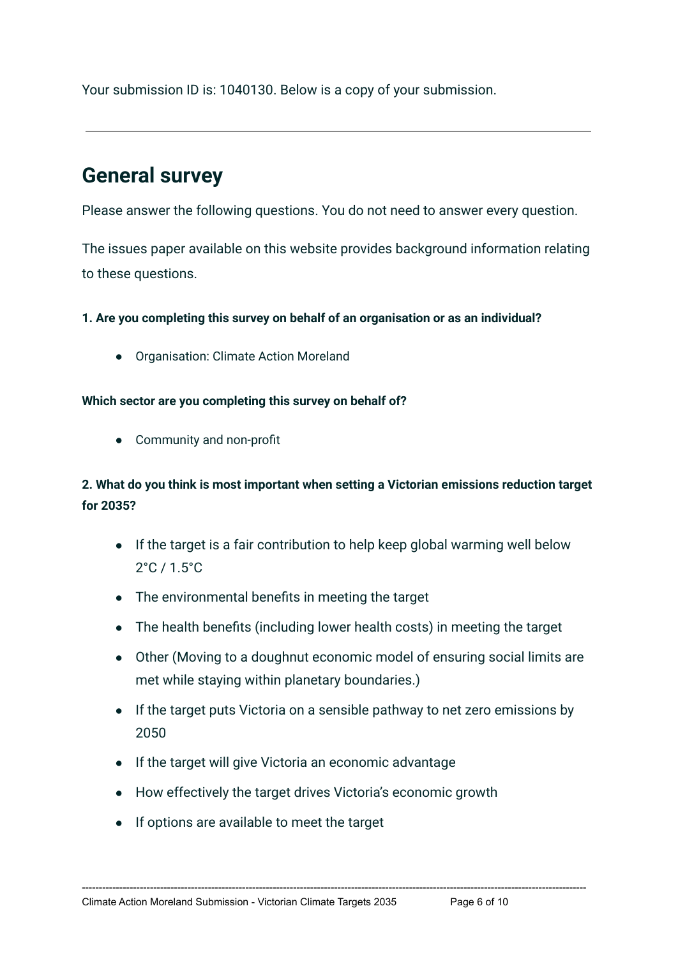Your submission ID is: 1040130. Below is a copy of your submission.

# **General survey**

Please answer the following questions. You do not need to answer every question.

The issues paper available on this website provides background information relating to these questions.

**1. Are you completing this survey on behalf of an organisation or as an individual?**

● Organisation: Climate Action Moreland

## **Which sector are you completing this survey on behalf of?**

● Community and non-profit

## **2. What do you think is most important when setting a Victorian emissions reduction target for 2035?**

- If the target is a fair contribution to help keep global warming well below 2°C / 1.5°C
- The environmental benefits in meeting the target
- The health benefits (including lower health costs) in meeting the target
- Other (Moving to a doughnut economic model of ensuring social limits are met while staying within planetary boundaries.)
- If the target puts Victoria on a sensible pathway to net zero emissions by 2050

- If the target will give Victoria an economic advantage
- How effectively the target drives Victoria's economic growth
- If options are available to meet the target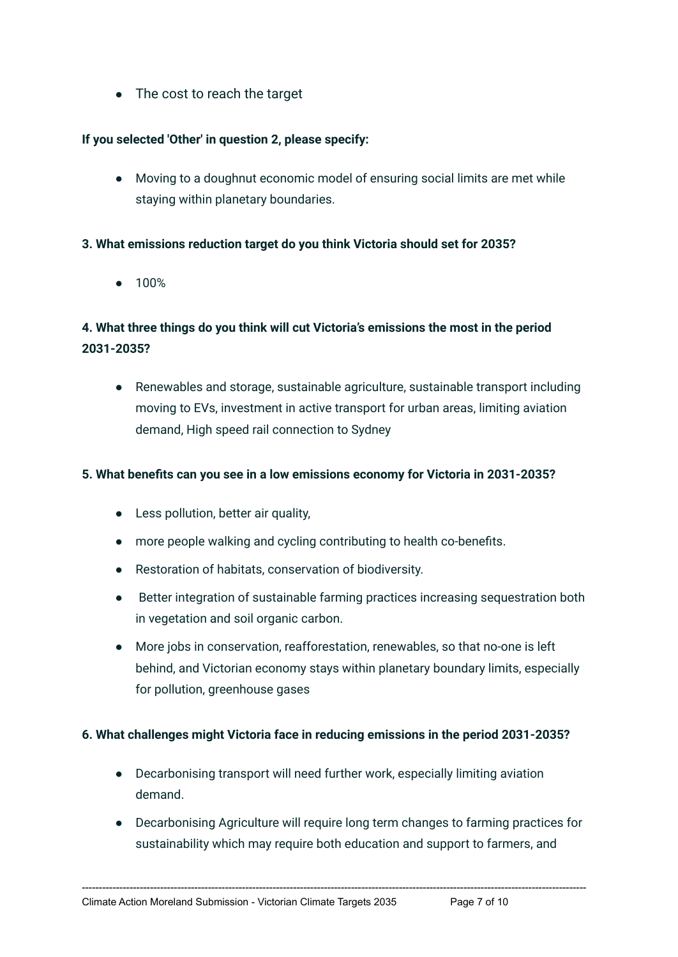● The cost to reach the target

## **If you selected 'Other' in question 2, please specify:**

● Moving to a doughnut economic model of ensuring social limits are met while staying within planetary boundaries.

### **3. What emissions reduction target do you think Victoria should set for 2035?**

● 100%

## **4. What three things do you think will cut Victoria's emissions the most in the period 2031-2035?**

● Renewables and storage, sustainable agriculture, sustainable transport including moving to EVs, investment in active transport for urban areas, limiting aviation demand, High speed rail connection to Sydney

#### **5. What benefits can you see in a low emissions economy for Victoria in 2031-2035?**

- Less pollution, better air quality,
- more people walking and cycling contributing to health co-benefits.
- Restoration of habitats, conservation of biodiversity.
- Better integration of sustainable farming practices increasing sequestration both in vegetation and soil organic carbon.
- More jobs in conservation, reafforestation, renewables, so that no-one is left behind, and Victorian economy stays within planetary boundary limits, especially for pollution, greenhouse gases

### **6. What challenges might Victoria face in reducing emissions in the period 2031-2035?**

● Decarbonising transport will need further work, especially limiting aviation demand.

----------------------------------------------------------------------------------------------------------------------------------------------------

● Decarbonising Agriculture will require long term changes to farming practices for sustainability which may require both education and support to farmers, and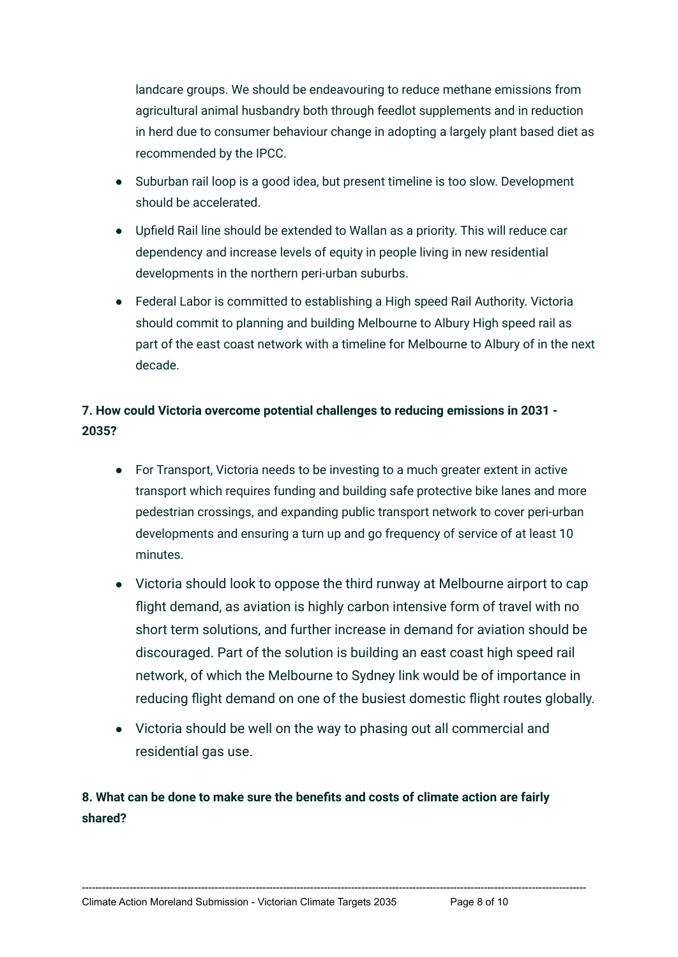landcare groups. We should be endeavouring to reduce methane emissions from agricultural animal husbandry both through feedlot supplements and in reduction in herd due to consumer behaviour change in adopting a largely plant based diet as recommended by the IPCC.

- Suburban rail loop is a good idea, but present timeline is too slow. Development should be accelerated.
- Upfield Rail line should be extended to Wallan as a priority. This will reduce car dependency and increase levels of equity in people living in new residential developments in the northern peri-urban suburbs.
- Federal Labor is committed to establishing a High speed Rail Authority. Victoria should commit to planning and building Melbourne to Albury High speed rail as part of the east coast network with a timeline for Melbourne to Albury of in the next decade.

# **7. How could Victoria overcome potential challenges to reducing emissions in 2031 - 2035?**

- For Transport, Victoria needs to be investing to a much greater extent in active transport which requires funding and building safe protective bike lanes and more pedestrian crossings, and expanding public transport network to cover peri-urban developments and ensuring a turn up and go frequency of service of at least 10 minutes.
- Victoria should look to oppose the third runway at Melbourne airport to cap flight demand, as aviation is highly carbon intensive form of travel with no short term solutions, and further increase in demand for aviation should be discouraged. Part of the solution is building an east coast high speed rail network, of which the Melbourne to Sydney link would be of importance in reducing flight demand on one of the busiest domestic flight routes globally.
- Victoria should be well on the way to phasing out all commercial and residential gas use.

----------------------------------------------------------------------------------------------------------------------------------------------------

## **8. What can be done to make sure the benefits and costs of climate action are fairly shared?**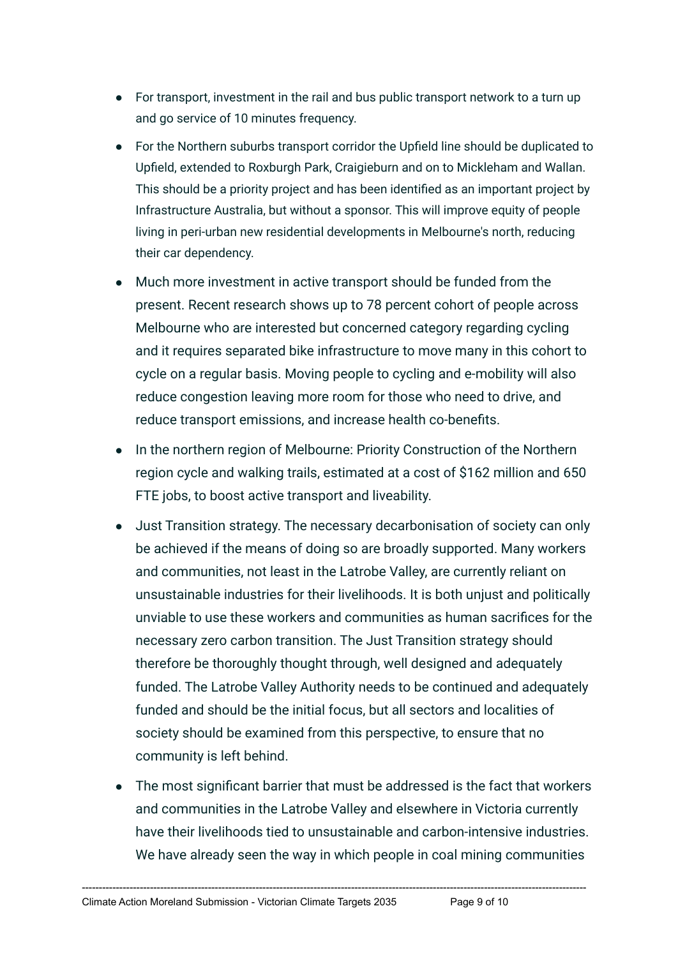- For transport, investment in the rail and bus public transport network to a turn up and go service of 10 minutes frequency.
- For the Northern suburbs transport corridor the Upfield line should be duplicated to Upfield, extended to Roxburgh Park, Craigieburn and on to Mickleham and Wallan. This should be a priority project and has been identified as an important project by Infrastructure Australia, but without a sponsor. This will improve equity of people living in peri-urban new residential developments in Melbourne's north, reducing their car dependency.
- Much more investment in active transport should be funded from the present. Recent research shows up to 78 percent cohort of people across Melbourne who are interested but concerned category regarding cycling and it requires separated bike infrastructure to move many in this cohort to cycle on a regular basis. Moving people to cycling and e-mobility will also reduce congestion leaving more room for those who need to drive, and reduce transport emissions, and increase health co-benefits.
- In the northern region of Melbourne: Priority Construction of the Northern region cycle and walking trails, estimated at a cost of \$162 million and 650 FTE jobs, to boost active transport and liveability.
- Just Transition strategy. The necessary decarbonisation of society can only be achieved if the means of doing so are broadly supported. Many workers and communities, not least in the Latrobe Valley, are currently reliant on unsustainable industries for their livelihoods. It is both unjust and politically unviable to use these workers and communities as human sacrifices for the necessary zero carbon transition. The Just Transition strategy should therefore be thoroughly thought through, well designed and adequately funded. The Latrobe Valley Authority needs to be continued and adequately funded and should be the initial focus, but all sectors and localities of society should be examined from this perspective, to ensure that no community is left behind.
- The most significant barrier that must be addressed is the fact that workers and communities in the Latrobe Valley and elsewhere in Victoria currently have their livelihoods tied to unsustainable and carbon-intensive industries. We have already seen the way in which people in coal mining communities

----------------------------------------------------------------------------------------------------------------------------------------------------

Climate Action Moreland Submission - Victorian Climate Targets 2035 Page 9 of 10